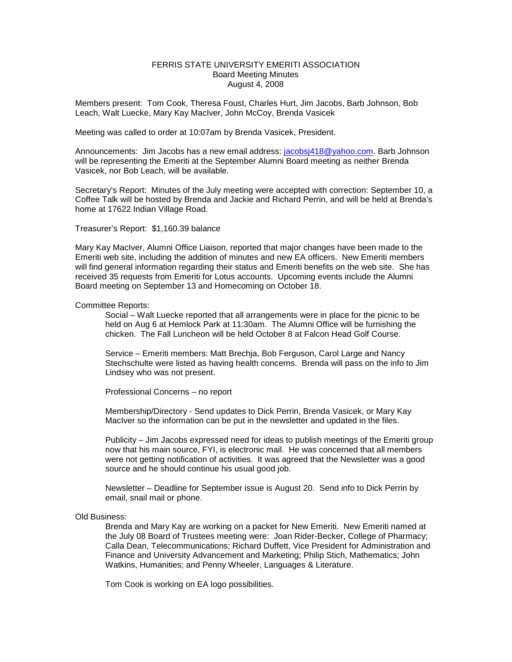## FERRIS STATE UNIVERSITY EMERITI ASSOCIATION Board Meeting Minutes August 4, 2008

Members present: Tom Cook, Theresa Foust, Charles Hurt, Jim Jacobs, Barb Johnson, Bob Leach, Walt Luecke, Mary Kay MacIver, John McCoy, Brenda Vasicek

Meeting was called to order at 10:07am by Brenda Vasicek, President.

Announcements: Jim Jacobs has a new email address: [jacobsj418@yahoo.com.](mailto:jacobsj418@yahoo.com) Barb Johnson will be representing the Emeriti at the September Alumni Board meeting as neither Brenda Vasicek, nor Bob Leach, will be available.

Secretary's Report: Minutes of the July meeting were accepted with correction: September 10, a Coffee Talk will be hosted by Brenda and Jackie and Richard Perrin, and will be held at Brenda's home at 17622 Indian Village Road.

Treasurer's Report: \$1,160.39 balance

Mary Kay MacIver, Alumni Office Liaison, reported that major changes have been made to the Emeriti web site, including the addition of minutes and new EA officers. New Emeriti members will find general information regarding their status and Emeriti benefits on the web site. She has received 35 requests from Emeriti for Lotus accounts. Upcoming events include the Alumni Board meeting on September 13 and Homecoming on October 18.

## Committee Reports:

Social – Walt Luecke reported that all arrangements were in place for the picnic to be held on Aug 6 at Hemlock Park at 11:30am. The Alumni Office will be furnishing the chicken. The Fall Luncheon will be held October 8 at Falcon Head Golf Course.

Service – Emeriti members: Matt Brechja, Bob Ferguson, Carol Large and Nancy Stechschulte were listed as having health concerns. Brenda will pass on the info to Jim Lindsey who was not present.

Professional Concerns – no report

Membership/Directory - Send updates to Dick Perrin, Brenda Vasicek, or Mary Kay MacIver so the information can be put in the newsletter and updated in the files.

Publicity – Jim Jacobs expressed need for ideas to publish meetings of the Emeriti group now that his main source, FYI, is electronic mail. He was concerned that all members were not getting notification of activities. It was agreed that the Newsletter was a good source and he should continue his usual good job.

Newsletter – Deadline for September issue is August 20. Send info to Dick Perrin by email, snail mail or phone.

## Old Business:

Brenda and Mary Kay are working on a packet for New Emeriti. New Emeriti named at the July 08 Board of Trustees meeting were: Joan Rider-Becker, College of Pharmacy; Calla Dean, Telecommunications; Richard Duffett, Vice President for Administration and Finance and University Advancement and Marketing; Philip Stich, Mathematics; John Watkins, Humanities; and Penny Wheeler, Languages & Literature.

Tom Cook is working on EA logo possibilities.